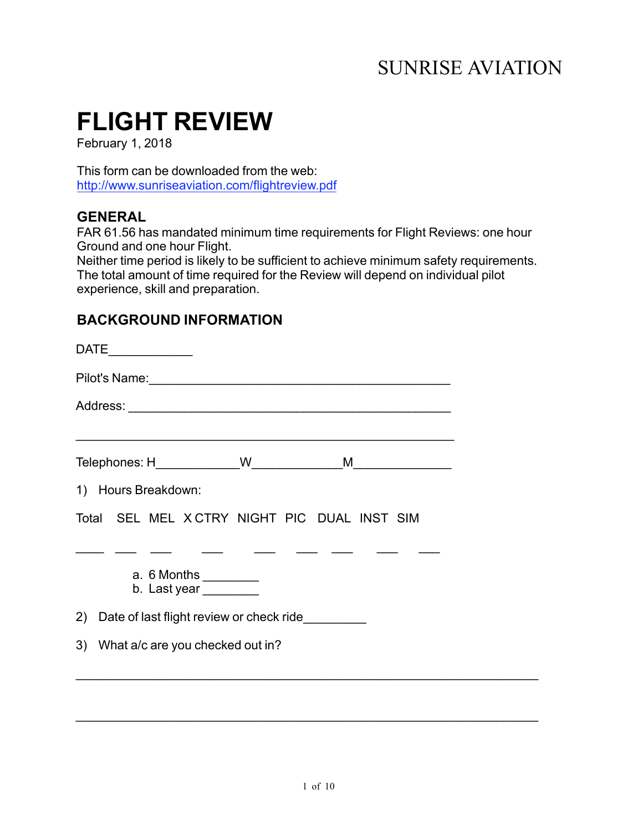# SUNRISE AVIATION

# **FLIGHT REVIEW**

February 1, 2018

This form can be downloaded from the web: http://www.sunriseaviation.com/flightreview.pdf

# **GENERAL**

FAR 61.56 has mandated minimum time requirements for Flight Reviews: one hour Ground and one hour Flight.

Neither time period is likely to be sufficient to achieve minimum safety requirements. The total amount of time required for the Review will depend on individual pilot experience, skill and preparation.

# **BACKGROUND INFORMATION**

| 1) Hours Breakdown: |  |                                              |  |  |  |
|---------------------|--|----------------------------------------------|--|--|--|
|                     |  | Total SEL MEL X CTRY NIGHT PIC DUAL INST SIM |  |  |  |
|                     |  |                                              |  |  |  |
|                     |  | a. 6 Months _________<br>b. Last year        |  |  |  |
|                     |  | 2) Date of last flight review or check ride  |  |  |  |
|                     |  | 3) What a/c are you checked out in?          |  |  |  |
|                     |  |                                              |  |  |  |
|                     |  |                                              |  |  |  |

 $\_$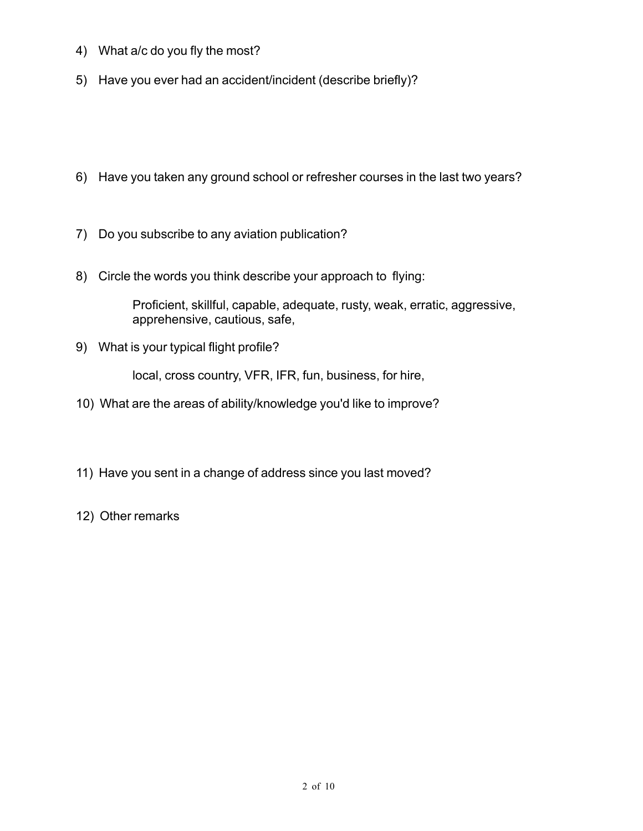- 4) What a/c do you fly the most?
- 5) Have you ever had an accident/incident (describe briefly)?
- 6) Have you taken any ground school or refresher courses in the last two years?
- 7) Do you subscribe to any aviation publication?
- 8) Circle the words you think describe your approach to flying:

Proficient, skillful, capable, adequate, rusty, weak, erratic, aggressive, apprehensive, cautious, safe,

9) What is your typical flight profile?

local, cross country, VFR, IFR, fun, business, for hire,

- 10) What are the areas of ability/knowledge you'd like to improve?
- 11) Have you sent in a change of address since you last moved?
- 12) Other remarks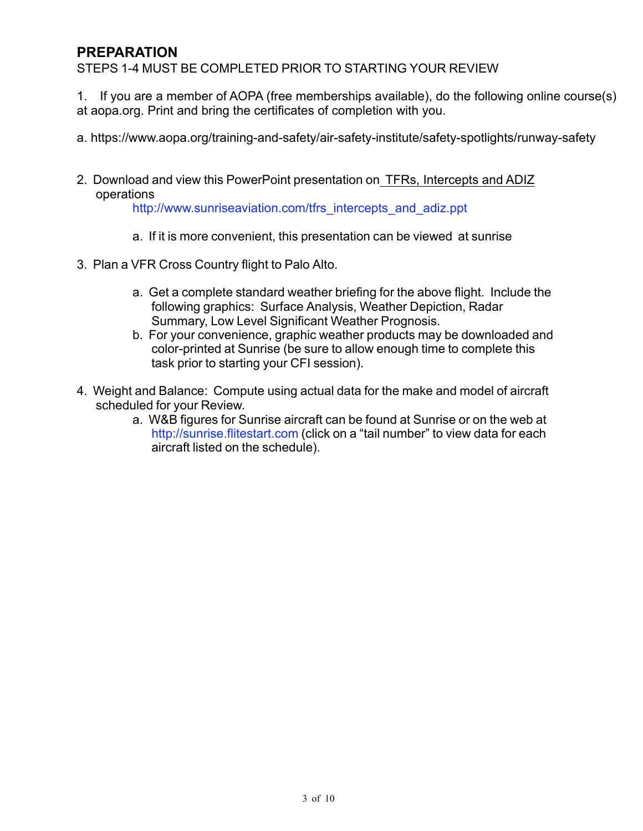# **PREPARATION**

STEPS 1-4 MUST BE COMPLETED PRIOR TO STARTING YOUR REVIEW

1. If you are a member of AOPA (free memberships available), do the following online course(s) at aopa.org. Print and bring the certificates of completion with you.

- a. https://www.aopa.org/training-and-safety/air-safety-institute/safety-spotlights/runway-safety
- 2. Download and view this PowerPoint presentation on TFRs, Intercepts and ADIZ operations

http://www.sunriseaviation.com/tfrs\_intercepts\_and\_adiz.ppt

- a. If it is more convenient, this presentation can be viewed at sunrise
- 3. Plan a VFR Cross Country flight to Palo Alto.
	- a. Get a complete standard weather briefing for the above flight. Include the following graphics: Surface Analysis, Weather Depiction, Radar Summary, Low Level Significant Weather Prognosis.
	- b. For your convenience, graphic weather products may be downloaded and color-printed at Sunrise (be sure to allow enough time to complete this task prior to starting your CFI session).
- 4. Weight and Balance: Compute using actual data for the make and model of aircraft scheduled for your Review.
	- a. W&B figures for Sunrise aircraft can be found at Sunrise or on the web at http://sunrise.flitestart.com (click on a "tail number" to view data for each aircraft listed on the schedule).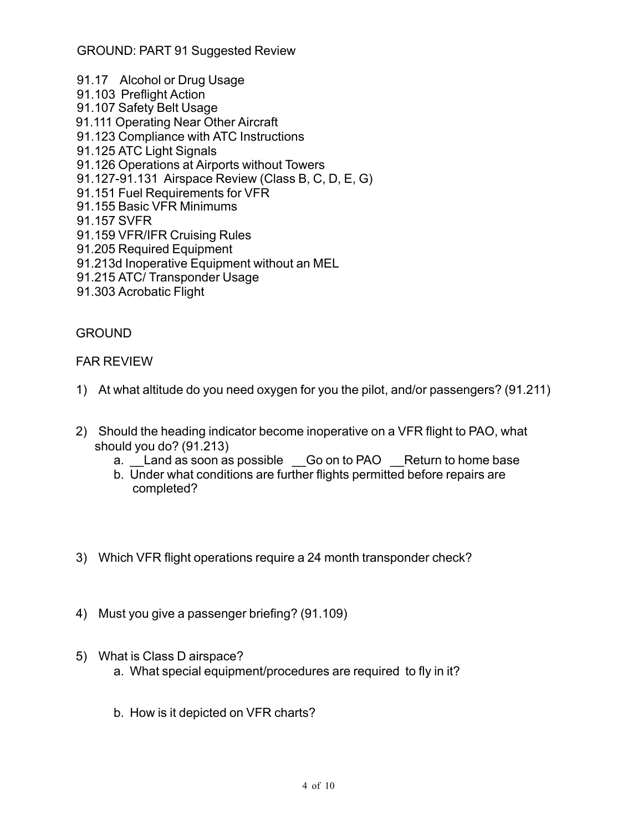- 91.17 Alcohol or Drug Usage 91.103 Preflight Action 91.107 Safety Belt Usage 91.111 Operating Near Other Aircraft 91.123 Compliance with ATC Instructions 91.125 ATC Light Signals 91.126 Operations at Airports without Towers 91.127-91.131 Airspace Review (Class B, C, D, E, G) 91.151 Fuel Requirements for VFR 91.155 Basic VFR Minimums 91.157 SVFR 91.159 VFR/IFR Cruising Rules 91.205 Required Equipment 91.213d Inoperative Equipment without an MEL 91.215 ATC/ Transponder Usage
- 91.303 Acrobatic Flight

#### GROUND

#### FAR REVIEW

- 1) At what altitude do you need oxygen for you the pilot, and/or passengers? (91.211)
- 2) Should the heading indicator become inoperative on a VFR flight to PAO, what should you do? (91.213)
	- a. Land as soon as possible Go on to PAO Return to home base
	- b. Under what conditions are further flights permitted before repairs are completed?
- 3) Which VFR flight operations require a 24 month transponder check?
- 4) Must you give a passenger briefing? (91.109)
- 5) What is Class D airspace?
	- a. What special equipment/procedures are required to fly in it?
	- b. How is it depicted on VFR charts?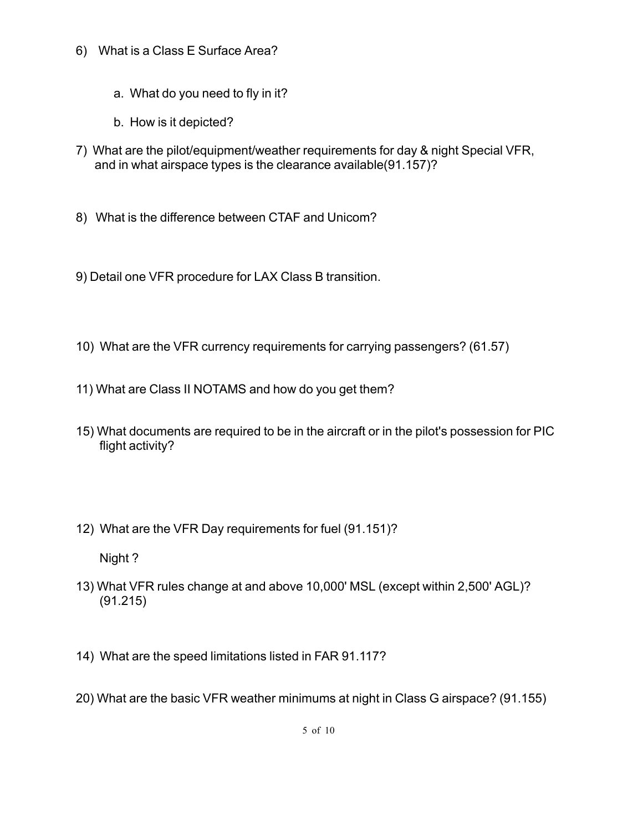- 6) What is a Class E Surface Area?
	- a. What do you need to fly in it?
	- b. How is it depicted?
- 7) What are the pilot/equipment/weather requirements for day & night Special VFR, and in what airspace types is the clearance available(91.157)?
- 8) What is the difference between CTAF and Unicom?
- 9) Detail one VFR procedure for LAX Class B transition.
- 10) What are the VFR currency requirements for carrying passengers? (61.57)
- 11) What are Class II NOTAMS and how do you get them?
- 15) What documents are required to be in the aircraft or in the pilot's possession for PIC flight activity?
- 12) What are the VFR Day requirements for fuel (91.151)?

Night ?

- 13) What VFR rules change at and above 10,000' MSL (except within 2,500' AGL)? (91.215)
- 14) What are the speed limitations listed in FAR 91.117?
- 20) What are the basic VFR weather minimums at night in Class G airspace? (91.155)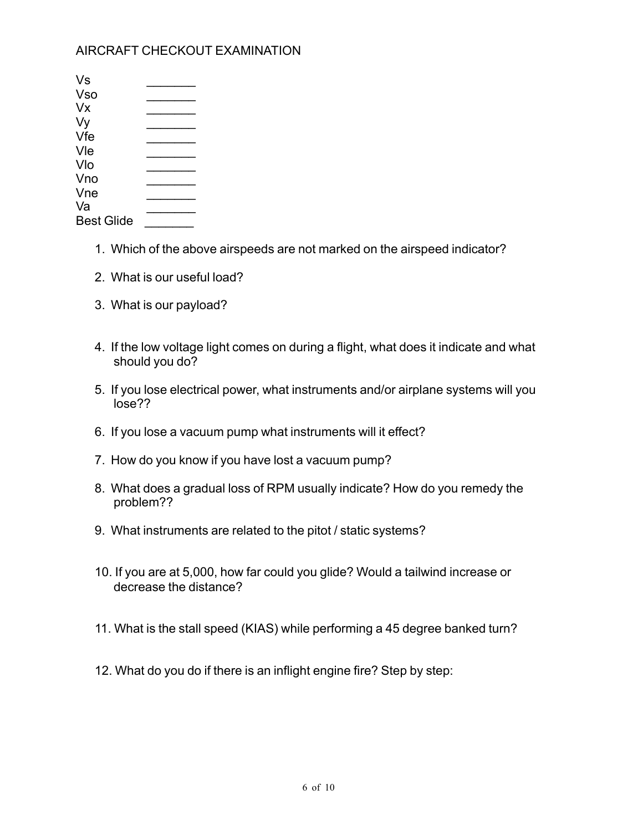### AIRCRAFT CHECKOUT EXAMINATION

| Vs                |  |
|-------------------|--|
| Vso               |  |
| Vx                |  |
| Vy                |  |
| Vfe               |  |
| Vle               |  |
| Vlo               |  |
| Vno               |  |
| Vne               |  |
| Va                |  |
| <b>Best Glide</b> |  |

- 1. Which of the above airspeeds are not marked on the airspeed indicator?
- 2. What is our useful load?
- 3. What is our payload?
- 4. If the low voltage light comes on during a flight, what does it indicate and what should you do?
- 5. If you lose electrical power, what instruments and/or airplane systems will you lose??
- 6. If you lose a vacuum pump what instruments will it effect?
- 7. How do you know if you have lost a vacuum pump?
- 8. What does a gradual loss of RPM usually indicate? How do you remedy the problem??
- 9. What instruments are related to the pitot / static systems?
- 10. If you are at 5,000, how far could you glide? Would a tailwind increase or decrease the distance?
- 11. What is the stall speed (KIAS) while performing a 45 degree banked turn?
- 12. What do you do if there is an inflight engine fire? Step by step: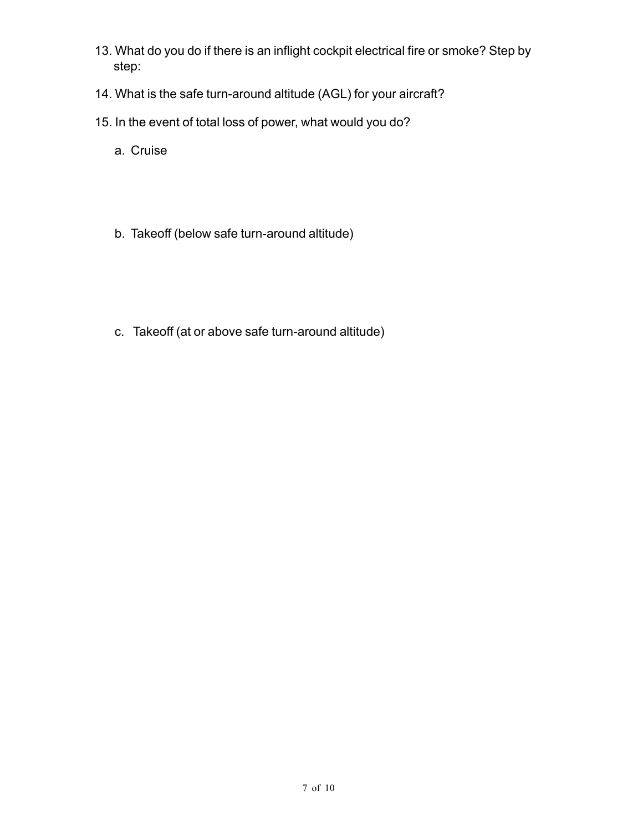- 13. What do you do if there is an inflight cockpit electrical fire or smoke? Step by step:
- 14. What is the safe turn-around altitude (AGL) for your aircraft?
- 15. In the event of total loss of power, what would you do?
	- a. Cruise
	- b. Takeoff (below safe turn-around altitude)
	- c. Takeoff (at or above safe turn-around altitude)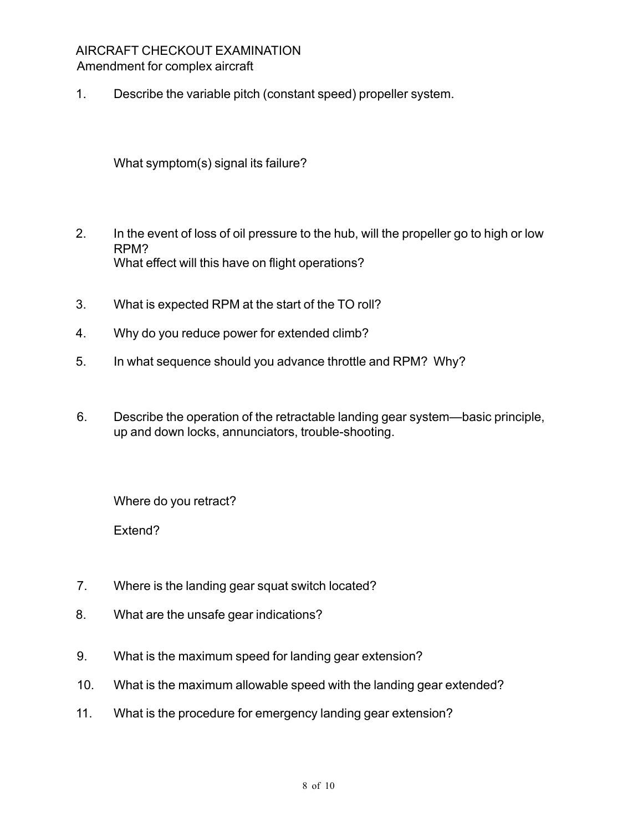#### AIRCRAFT CHECKOUT EXAMINATION Amendment for complex aircraft

1. Describe the variable pitch (constant speed) propeller system.

What symptom(s) signal its failure?

- 2. In the event of loss of oil pressure to the hub, will the propeller go to high or low RPM? What effect will this have on flight operations?
- 3. What is expected RPM at the start of the TO roll?
- 4. Why do you reduce power for extended climb?
- 5. In what sequence should you advance throttle and RPM? Why?
- 6. Describe the operation of the retractable landing gear system—basic principle, up and down locks, annunciators, trouble-shooting.

Where do you retract?

Extend?

- 7. Where is the landing gear squat switch located?
- 8. What are the unsafe gear indications?
- 9. What is the maximum speed for landing gear extension?
- 10. What is the maximum allowable speed with the landing gear extended?
- 11. What is the procedure for emergency landing gear extension?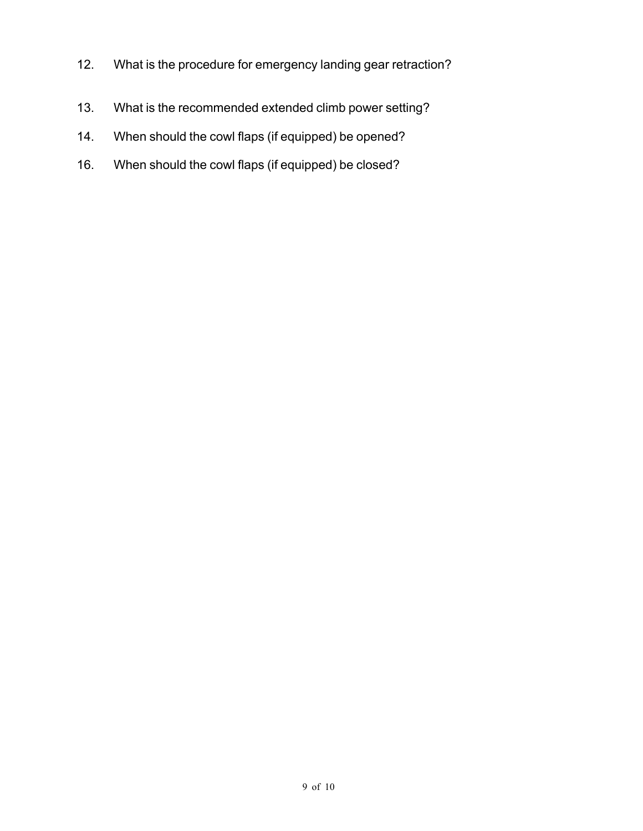- 12. What is the procedure for emergency landing gear retraction?
- 13. What is the recommended extended climb power setting?
- 14. When should the cowl flaps (if equipped) be opened?
- 16. When should the cowl flaps (if equipped) be closed?